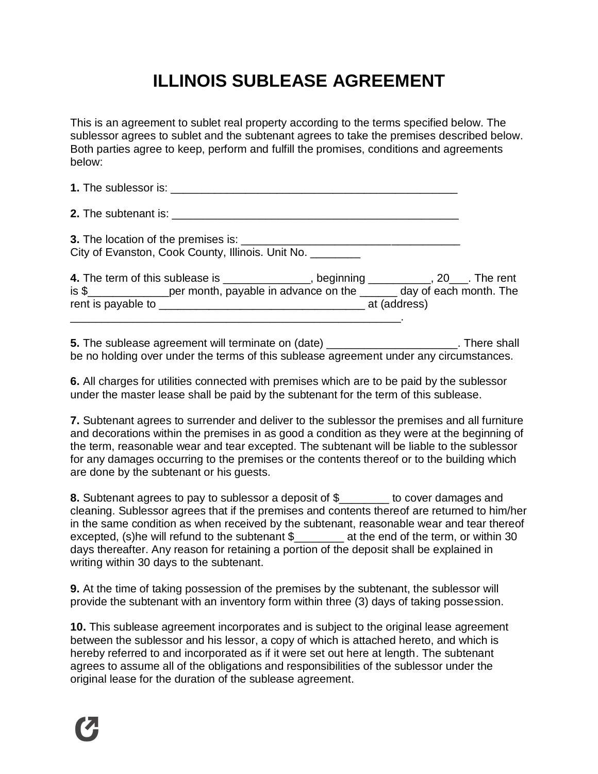## **ILLINOIS SUBLEASE AGREEMENT**

This is an agreement to sublet real property according to the terms specified below. The sublessor agrees to sublet and the subtenant agrees to take the premises described below. Both parties agree to keep, perform and fulfill the promises, conditions and agreements below:

| City of Evanston, Cook County, Illinois. Unit No. ________ |           |     |     |
|------------------------------------------------------------|-----------|-----|-----|
| A The term of this sublease is                             | haginning | 20. | Th. |

| 4. The term of this sublease is |                                      | beginning    |                        | . The rent |
|---------------------------------|--------------------------------------|--------------|------------------------|------------|
| is \$                           | per month, payable in advance on the |              | day of each month. The |            |
| rent is payable to              |                                      | at (address) |                        |            |
|                                 |                                      |              |                        |            |

**5.** The sublease agreement will terminate on (date) \_\_\_\_\_\_\_\_\_\_\_\_\_\_\_\_\_\_\_\_\_\_. There shall be no holding over under the terms of this sublease agreement under any circumstances.

**6.** All charges for utilities connected with premises which are to be paid by the sublessor under the master lease shall be paid by the subtenant for the term of this sublease.

**7.** Subtenant agrees to surrender and deliver to the sublessor the premises and all furniture and decorations within the premises in as good a condition as they were at the beginning of the term, reasonable wear and tear excepted. The subtenant will be liable to the sublessor for any damages occurring to the premises or the contents thereof or to the building which are done by the subtenant or his guests.

**8.** Subtenant agrees to pay to sublessor a deposit of \$\_\_\_\_\_\_\_\_ to cover damages and cleaning. Sublessor agrees that if the premises and contents thereof are returned to him/her in the same condition as when received by the subtenant, reasonable wear and tear thereof excepted, (s)he will refund to the subtenant \$\_\_\_\_\_\_\_\_ at the end of the term, or within 30 days thereafter. Any reason for retaining a portion of the deposit shall be explained in writing within 30 days to the subtenant.

**9.** At the time of taking possession of the premises by the subtenant, the sublessor will provide the subtenant with an inventory form within three (3) days of taking possession.

**10.** This sublease agreement incorporates and is subject to the original lease agreement between the sublessor and his lessor, a copy of which is attached hereto, and which is hereby referred to and incorporated as if it were set out here at length. The subtenant agrees to assume all of the obligations and responsibilities of the sublessor under the original lease for the duration of the sublease agreement.